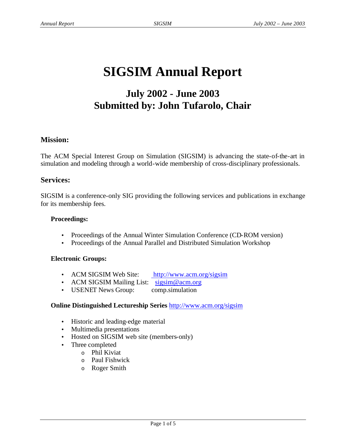# **SIGSIM Annual Report**

# **July 2002 - June 2003 Submitted by: John Tufarolo, Chair**

#### **Mission:**

The ACM Special Interest Group on Simulation (SIGSIM) is advancing the state-of-the-art in simulation and modeling through a world-wide membership of cross-disciplinary professionals.

#### **Services:**

SIGSIM is a conference-only SIG providing the following services and publications in exchange for its membership fees.

#### **Proceedings:**

- Proceedings of the Annual Winter Simulation Conference (CD-ROM version)
- Proceedings of the Annual Parallel and Distributed Simulation Workshop

#### **Electronic Groups:**

- ACM SIGSIM Web Site: http://www.acm.org/sigsim
- ACM SIGSIM Mailing List: sigsim@acm.org
- USENET News Group: comp.simulation

#### **Online Distinguished Lectureship Series** http://www.acm.org/sigsim

- Historic and leading-edge material
- Multimedia presentations
- Hosted on SIGSIM web site (members-only)
- Three completed
	- o Phil Kiviat
	- o Paul Fishwick
	- o Roger Smith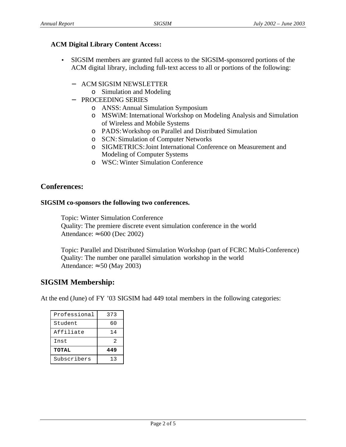#### **ACM Digital Library Content Access:**

- SIGSIM members are granted full access to the SIGSIM-sponsored portions of the ACM digital library, including full-text access to all or portions of the following:
	- − ACM SIGSIM NEWSLETTER
		- o Simulation and Modeling
	- − PROCEEDING SERIES
		- o ANSS: Annual Simulation Symposium
		- o MSWiM: International Workshop on Modeling Analysis and Simulation of Wireless and Mobile Systems
		- o PADS: Workshop on Parallel and Distributed Simulation
		- o SCN: Simulation of Computer Networks
		- o SIGMETRICS: Joint International Conference on Measurement and Modeling of Computer Systems
		- o WSC: Winter Simulation Conference

# **Conferences:**

#### **SIGSIM co-sponsors the following two conferences.**

Topic: Winter Simulation Conference Quality: The premiere discrete event simulation conference in the world

Attendance:  $\approx 600$  (Dec 2002)

Topic: Parallel and Distributed Simulation Workshop (part of FCRC Multi-Conference) Quality: The number one parallel simulation workshop in the world Attendance:  $\approx$  50 (May 2003)

# **SIGSIM Membership:**

At the end (June) of FY '03 SIGSIM had 449 total members in the following categories:

| Professional | 373 |
|--------------|-----|
| Student      | 60  |
| Affiliate    | 14  |
| Inst         | 2   |
| <b>TOTAL</b> | 449 |
| Subscribers  | 13  |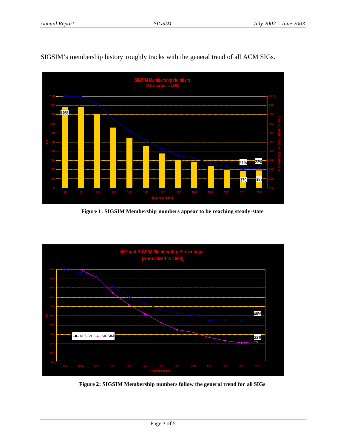

SIGSIM's membership history roughly tracks with the general trend of all ACM SIGs.

**Figure 1: SIGSIM Membership numbers appear to be reaching steady-state**



**Figure 2: SIGSIM Membership numbers follow the general trend for all SIGs**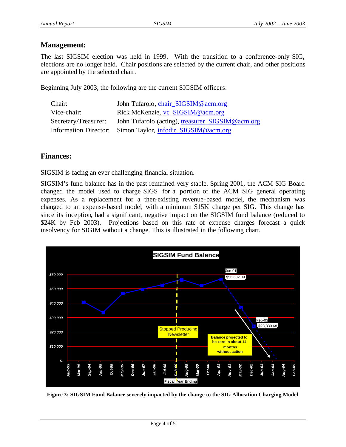# **Management:**

The last SIGSIM election was held in 1999. With the transition to a conference-only SIG, elections are no longer held. Chair positions are selected by the current chair, and other positions are appointed by the selected chair.

Beginning July 2003, the following are the current SIGSIM officers:

| Chair:               | John Tufarolo, chair_SIGSIM@acm.org                        |
|----------------------|------------------------------------------------------------|
| Vice-chair:          | Rick McKenzie, vc_SIGSIM@acm.org                           |
| Secretary/Treasurer: | John Tufarolo (acting), treasurer_SIGSIM@acm.org           |
|                      | Information Director: Simon Taylor, infodir_SIGSIM@acm.org |

# **Finances:**

SIGSIM is facing an ever challenging financial situation.

SIGSIM's fund balance has in the past remained very stable. Spring 2001, the ACM SIG Board changed the model used to charge SIGS for a portion of the ACM SIG general operating expenses. As a replacement for a then-existing revenue-based model, the mechanism was changed to an expense-based model, with a minimum \$15K charge per SIG. This change has since its inception, had a significant, negative impact on the SIGSIM fund balance (reduced to \$24K by Feb 2003). Projections based on this rate of expense charges forecast a quick insolvency for SIGIM without a change. This is illustrated in the following chart.